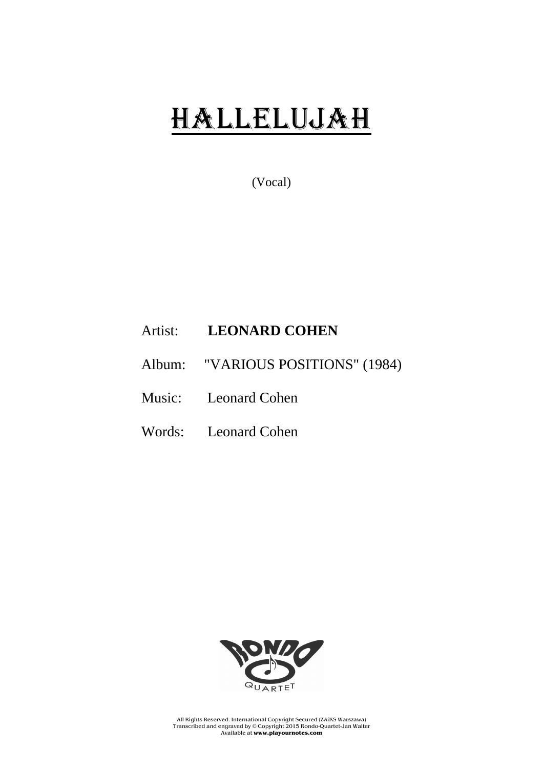## HaLLELUJAH

(Vocal)

## Artist: **LEONARD COHEN**

Album: "VARIOUS POSITIONS" (1984)

Music: Leonard Cohen

Words: Leonard Cohen



All Rights Reserved. International Copyright Secured (ZAiKS Warszawa) Transcribed and engraved by © Copyright 2015 Rondo-Quartet-Jan Walter Available at **www.playournotes.com**